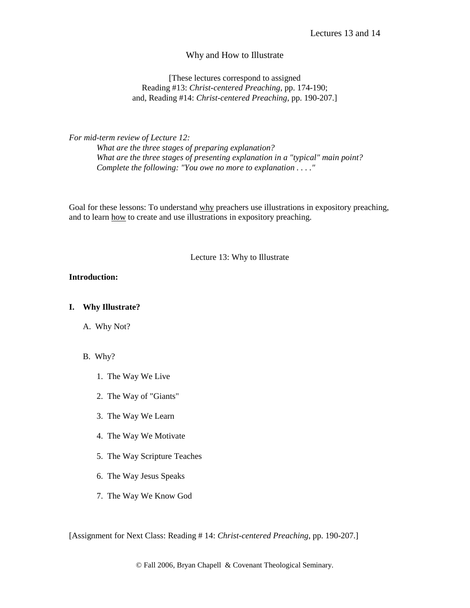## Why and How to Illustrate

[These lectures correspond to assigned Reading #13: *Christ-centered Preaching*, pp. 174-190; and, Reading #14: *Christ-centered Preaching*, pp. 190-207.]

*For mid-term review of Lecture 12: What are the three stages of preparing explanation? What are the three stages of presenting explanation in a "typical" main point? Complete the following: "You owe no more to explanation . . . ."* 

Goal for these lessons: To understand why preachers use illustrations in expository preaching, and to learn how to create and use illustrations in expository preaching.

Lecture 13: Why to Illustrate

## **Introduction:**

#### **I. Why Illustrate?**

A. Why Not?

# B. Why?

- 1. The Way We Live
- 2. The Way of "Giants"
- 3. The Way We Learn
- 4. The Way We Motivate
- 5. The Way Scripture Teaches
- 6. The Way Jesus Speaks
- 7. The Way We Know God

[Assignment for Next Class: Reading # 14: *Christ-centered Preaching*, pp. 190-207.]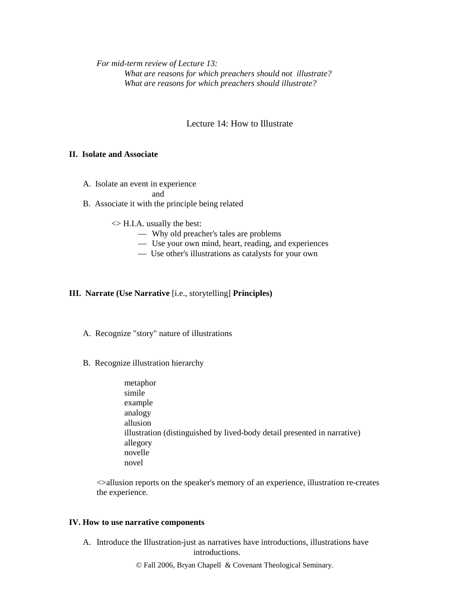*For mid-term review of Lecture 13: What are reasons for which preachers should not illustrate? What are reasons for which preachers should illustrate?*

## Lecture 14: How to Illustrate

#### **II. Isolate and Associate**

A. Isolate an event in experience

and

B. Associate it with the principle being related

<> H.I.A. usually the best:

- Why old preacher's tales are problems
- Use your own mind, heart, reading, and experiences
- Use other's illustrations as catalysts for your own

### **III. Narrate (Use Narrative** [i.e., storytelling] **Principles)**

- A. Recognize "story" nature of illustrations
- B. Recognize illustration hierarchy
	- metaphor simile example analogy allusion illustration (distinguished by lived-body detail presented in narrative) allegory novelle novel

 <>allusion reports on the speaker's memory of an experience, illustration re-creates the experience.

#### **IV. How to use narrative components**

 A. Introduce the Illustration-just as narratives have introductions, illustrations have introductions.

© Fall 2006, Bryan Chapell & Covenant Theological Seminary.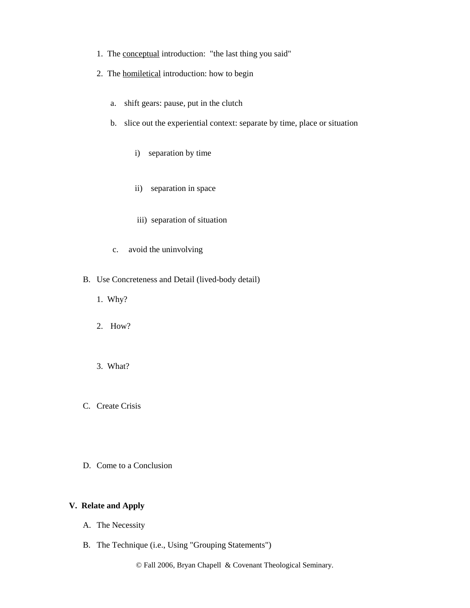- 1. The conceptual introduction: "the last thing you said"
- 2. The homiletical introduction: how to begin
	- a. shift gears: pause, put in the clutch
	- b. slice out the experiential context: separate by time, place or situation
		- i) separation by time
		- ii) separation in space
		- iii) separation of situation
	- c. avoid the uninvolving
- B. Use Concreteness and Detail (lived-body detail)
	- 1. Why?
	- 2. How?
	- 3. What?
- C. Create Crisis
- D. Come to a Conclusion

# **V. Relate and Apply**

- A. The Necessity
- B. The Technique (i.e., Using "Grouping Statements")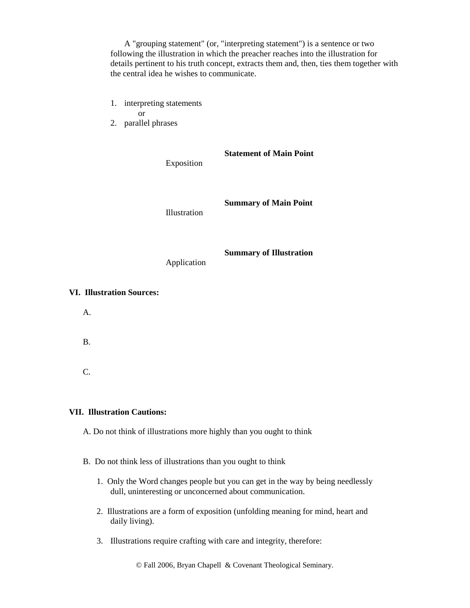A "grouping statement" (or, "interpreting statement") is a sentence or two following the illustration in which the preacher reaches into the illustration for details pertinent to his truth concept, extracts them and, then, ties them together with the central idea he wishes to communicate.

 1. interpreting statements or

2. parallel phrases

|                                  | Exposition   | <b>Statement of Main Point</b> |
|----------------------------------|--------------|--------------------------------|
|                                  | Illustration | <b>Summary of Main Point</b>   |
|                                  | Application  | <b>Summary of Illustration</b> |
| <b>VI. Illustration Sources:</b> |              |                                |
| Δ                                |              |                                |

A.

B.

C.

# **VII. Illustration Cautions:**

A. Do not think of illustrations more highly than you ought to think

B. Do not think less of illustrations than you ought to think

- 1. Only the Word changes people but you can get in the way by being needlessly dull, uninteresting or unconcerned about communication.
- 2. Illustrations are a form of exposition (unfolding meaning for mind, heart and daily living).
- 3. Illustrations require crafting with care and integrity, therefore:

© Fall 2006, Bryan Chapell & Covenant Theological Seminary.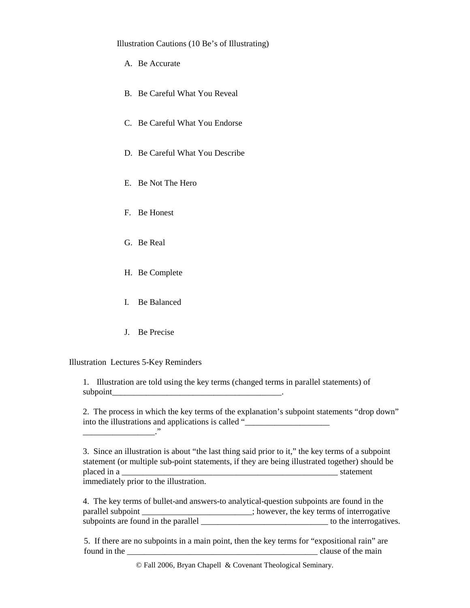# Illustration Cautions (10 Be's of Illustrating)

- A. Be Accurate
- B. Be Careful What You Reveal
- C. Be Careful What You Endorse
- D. Be Careful What You Describe
- E. Be Not The Hero
- F. Be Honest
- G. Be Real
- H. Be Complete
- I. Be Balanced
- J. Be Precise

Illustration Lectures 5-Key Reminders

\_\_\_\_\_\_\_\_\_\_\_\_\_\_\_\_\_."

1. Illustration are told using the key terms (changed terms in parallel statements) of subpoint\_\_\_\_\_\_\_\_\_\_\_\_\_\_\_\_\_\_\_\_\_\_\_\_\_\_\_\_\_\_\_\_\_\_\_\_\_\_\_\_.

2. The process in which the key terms of the explanation's subpoint statements "drop down" into the illustrations and applications is called "\_\_\_\_\_\_\_\_\_\_\_\_\_\_\_\_\_\_\_\_\_\_\_\_\_\_\_\_\_\_

4. The key terms of bullet-and answers-to analytical-question subpoints are found in the parallel subpoint \_\_\_\_\_\_\_\_\_\_\_\_\_\_\_\_\_\_\_\_\_\_; however, the key terms of interrogative subpoints are found in the parallel \_\_\_\_\_\_\_\_\_\_\_\_\_\_\_\_\_\_\_\_\_\_\_\_\_\_\_\_\_\_ to the interrogatives.

 5. If there are no subpoints in a main point, then the key terms for "expositional rain" are found in the \_\_\_\_\_\_\_\_\_\_\_\_\_\_\_\_\_\_\_\_\_\_\_\_\_\_\_\_\_\_\_\_\_\_\_\_\_\_\_\_\_\_\_\_\_ clause of the main

<sup>3.</sup> Since an illustration is about "the last thing said prior to it," the key terms of a subpoint statement (or multiple sub-point statements, if they are being illustrated together) should be placed in a \_\_\_\_\_\_\_\_\_\_\_\_\_\_\_\_\_\_\_\_\_\_\_\_\_\_\_\_\_\_\_\_\_\_\_\_\_\_\_\_\_\_\_\_\_\_\_\_\_\_\_ statement immediately prior to the illustration.